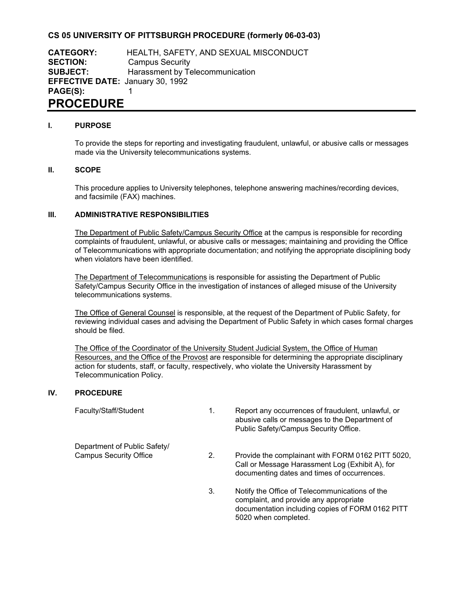## **CS 05 UNIVERSITY OF PITTSBURGH PROCEDURE (formerly 06-03-03)**

**CATEGORY:** HEALTH, SAFETY, AND SEXUAL MISCONDUCT **SECTION:** Campus Security **SUBJECT:** Harassment by Telecommunication **EFFECTIVE DATE:** January 30, 1992 **PAGE(S):** 1 **PROCEDURE**

#### **I. PURPOSE**

To provide the steps for reporting and investigating fraudulent, unlawful, or abusive calls or messages made via the University telecommunications systems.

### **II. SCOPE**

This procedure applies to University telephones, telephone answering machines/recording devices, and facsimile (FAX) machines.

#### **III. ADMINISTRATIVE RESPONSIBILITIES**

The Department of Public Safety/Campus Security Office at the campus is responsible for recording complaints of fraudulent, unlawful, or abusive calls or messages; maintaining and providing the Office of Telecommunications with appropriate documentation; and notifying the appropriate disciplining body when violators have been identified.

The Department of Telecommunications is responsible for assisting the Department of Public Safety/Campus Security Office in the investigation of instances of alleged misuse of the University telecommunications systems.

The Office of General Counsel is responsible, at the request of the Department of Public Safety, for reviewing individual cases and advising the Department of Public Safety in which cases formal charges should be filed.

The Office of the Coordinator of the University Student Judicial System, the Office of Human Resources, and the Office of the Provost are responsible for determining the appropriate disciplinary action for students, staff, or faculty, respectively, who violate the University Harassment by Telecommunication Policy.

#### **IV. PROCEDURE**

Department of Public Safety/<br>Campus Security Office

- Faculty/Staff/Student 1. Report any occurrences of fraudulent, unlawful, or abusive calls or messages to the Department of Public Safety/Campus Security Office.
	- 2. Provide the complainant with FORM 0162 PITT 5020. Call or Message Harassment Log (Exhibit A), for documenting dates and times of occurrences.
	- 3. Notify the Office of Telecommunications of the complaint, and provide any appropriate documentation including copies of FORM 0162 PITT 5020 when completed.